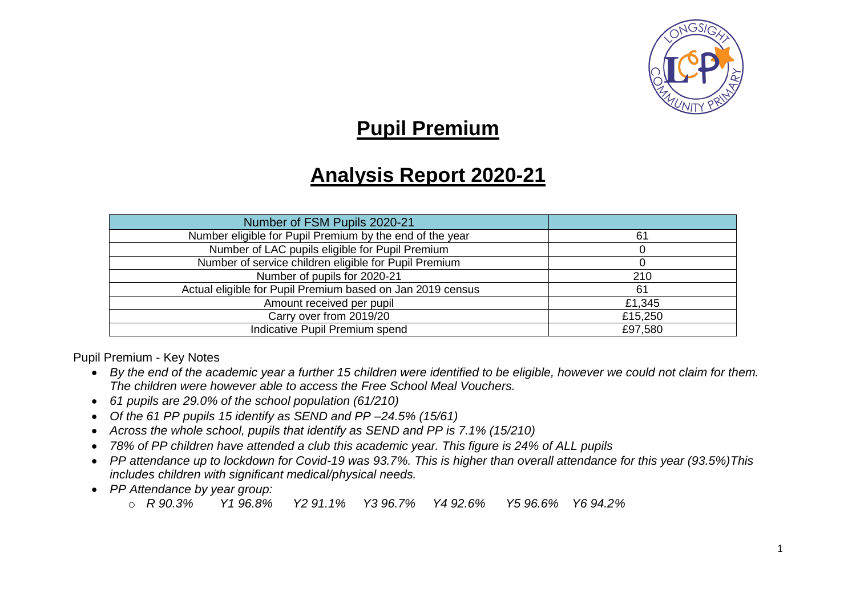

## **Pupil Premium**

## **Analysis Report 2020-21**

| Number of FSM Pupils 2020-21                               |         |
|------------------------------------------------------------|---------|
| Number eligible for Pupil Premium by the end of the year   | 61      |
| Number of LAC pupils eligible for Pupil Premium            |         |
| Number of service children eligible for Pupil Premium      |         |
| Number of pupils for 2020-21                               | 210     |
| Actual eligible for Pupil Premium based on Jan 2019 census | 61      |
| Amount received per pupil                                  | £1,345  |
| Carry over from 2019/20                                    | £15,250 |
| Indicative Pupil Premium spend                             | £97,580 |

Pupil Premium - Key Notes

- *By the end of the academic year a further 15 children were identified to be eligible, however we could not claim for them. The children were however able to access the Free School Meal Vouchers.*
- *61 pupils are 29.0% of the school population (61/210)*
- *Of the 61 PP pupils 15 identify as SEND and PP –24.5% (15/61)*
- *Across the whole school, pupils that identify as SEND and PP is 7.1% (15/210)*
- *78% of PP children have attended a club this academic year. This figure is 24% of ALL pupils*
- *PP attendance up to lockdown for Covid-19 was 93.7%. This is higher than overall attendance for this year (93.5%)This includes children with significant medical/physical needs.*
- *PP Attendance by year group:* 
	- o *R 90.3% Y1 96.8% Y2 91.1% Y3 96.7% Y4 92.6% Y5 96.6% Y6 94.2%*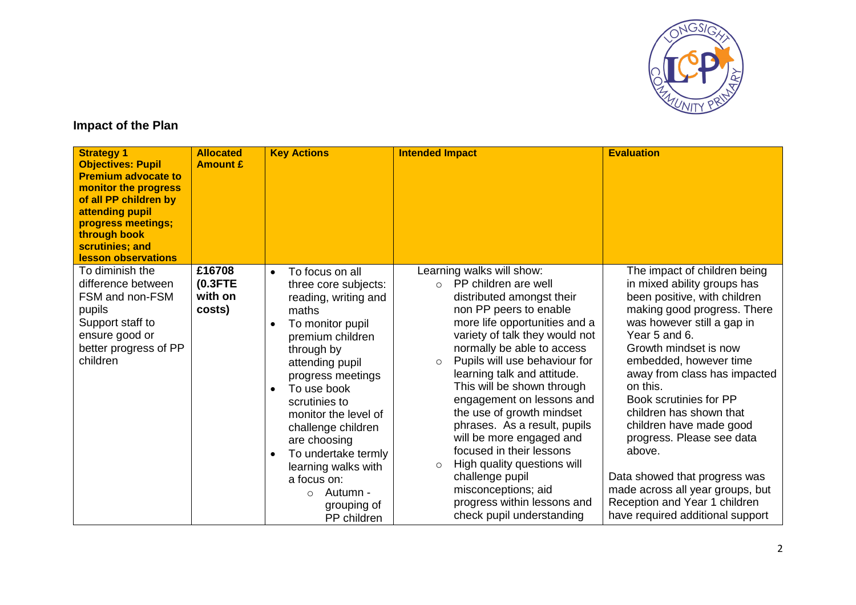

## **Impact of the Plan**

| <b>Strategy 1</b><br><b>Objectives: Pupil</b><br><b>Premium advocate to</b><br>monitor the progress<br>of all PP children by<br>attending pupil<br>progress meetings;<br>through book<br>scrutinies; and<br>lesson observations | <b>Allocated</b><br><b>Amount £</b>       | <b>Key Actions</b>                                                                                                                                                                                                                                                                                                                                                                                               | <b>Intended Impact</b>                                                                                                                                                                                                                                                                                                                                                                                                                                                                                                                                                                                                            | <b>Evaluation</b>                                                                                                                                                                                                                                                                                                                                                                                                                                                                                                                         |
|---------------------------------------------------------------------------------------------------------------------------------------------------------------------------------------------------------------------------------|-------------------------------------------|------------------------------------------------------------------------------------------------------------------------------------------------------------------------------------------------------------------------------------------------------------------------------------------------------------------------------------------------------------------------------------------------------------------|-----------------------------------------------------------------------------------------------------------------------------------------------------------------------------------------------------------------------------------------------------------------------------------------------------------------------------------------------------------------------------------------------------------------------------------------------------------------------------------------------------------------------------------------------------------------------------------------------------------------------------------|-------------------------------------------------------------------------------------------------------------------------------------------------------------------------------------------------------------------------------------------------------------------------------------------------------------------------------------------------------------------------------------------------------------------------------------------------------------------------------------------------------------------------------------------|
| To diminish the<br>difference between<br>FSM and non-FSM<br>pupils<br>Support staff to<br>ensure good or<br>better progress of PP<br>children                                                                                   | £16708<br>$(0.3$ FTE<br>with on<br>costs) | To focus on all<br>$\bullet$<br>three core subjects:<br>reading, writing and<br>maths<br>To monitor pupil<br>$\bullet$<br>premium children<br>through by<br>attending pupil<br>progress meetings<br>To use book<br>scrutinies to<br>monitor the level of<br>challenge children<br>are choosing<br>To undertake termly<br>learning walks with<br>a focus on:<br>Autumn -<br>$\circ$<br>grouping of<br>PP children | Learning walks will show:<br>PP children are well<br>$\bigcap$<br>distributed amongst their<br>non PP peers to enable<br>more life opportunities and a<br>variety of talk they would not<br>normally be able to access<br>Pupils will use behaviour for<br>$\circ$<br>learning talk and attitude.<br>This will be shown through<br>engagement on lessons and<br>the use of growth mindset<br>phrases. As a result, pupils<br>will be more engaged and<br>focused in their lessons<br>High quality questions will<br>$\circ$<br>challenge pupil<br>misconceptions; aid<br>progress within lessons and<br>check pupil understanding | The impact of children being<br>in mixed ability groups has<br>been positive, with children<br>making good progress. There<br>was however still a gap in<br>Year 5 and 6.<br>Growth mindset is now<br>embedded, however time<br>away from class has impacted<br>on this.<br>Book scrutinies for PP<br>children has shown that<br>children have made good<br>progress. Please see data<br>above.<br>Data showed that progress was<br>made across all year groups, but<br>Reception and Year 1 children<br>have required additional support |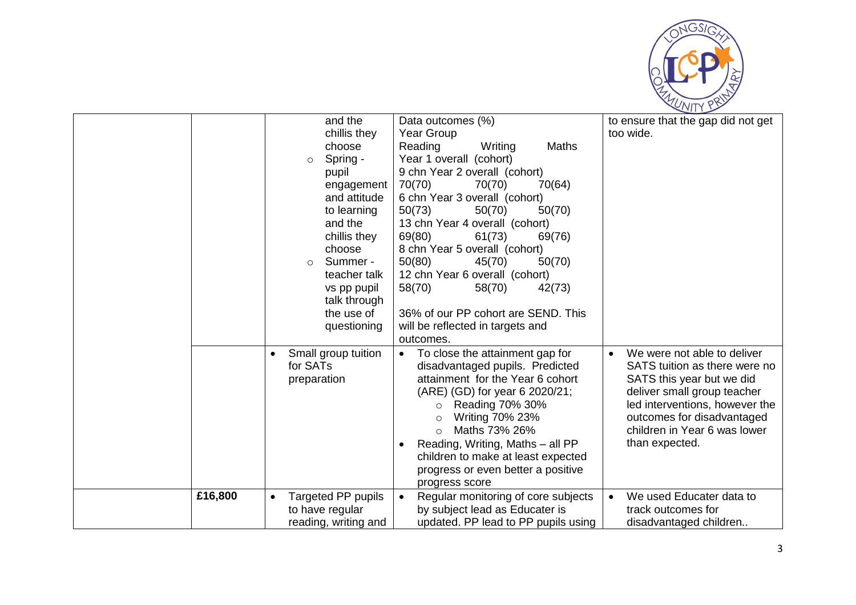

|         | $\circ$<br>$\circ$      | and the<br>chillis they<br>choose<br>Spring -<br>pupil<br>engagement<br>and attitude<br>to learning<br>and the<br>chillis they<br>choose<br>Summer -<br>teacher talk<br>vs pp pupil<br>talk through<br>the use of<br>questioning | <b>Year Group</b><br>Reading<br>70(70)<br>50(73)<br>69(80)<br>50(80)<br>58(70)<br>outcomes. | Data outcomes (%)<br>Writing<br>Year 1 overall (cohort)<br>9 chn Year 2 overall (cohort)<br>70(70)<br>6 chn Year 3 overall (cohort)<br>50(70)<br>13 chn Year 4 overall (cohort)<br>61(73)<br>8 chn Year 5 overall (cohort)<br>45(70)<br>12 chn Year 6 overall (cohort)<br>58(70)<br>will be reflected in targets and | Maths<br>70(64)<br>50(70)<br>69(76)<br>50(70)<br>42(73)<br>36% of our PP cohort are SEND. This |           | to ensure that the gap did not get<br>too wide.                                                                                                                                                                                            |
|---------|-------------------------|----------------------------------------------------------------------------------------------------------------------------------------------------------------------------------------------------------------------------------|---------------------------------------------------------------------------------------------|----------------------------------------------------------------------------------------------------------------------------------------------------------------------------------------------------------------------------------------------------------------------------------------------------------------------|------------------------------------------------------------------------------------------------|-----------|--------------------------------------------------------------------------------------------------------------------------------------------------------------------------------------------------------------------------------------------|
|         | for SATs<br>preparation | Small group tuition                                                                                                                                                                                                              | $\bullet$<br>$\circ$<br>$\Omega$<br>$\Omega$<br>$\bullet$                                   | To close the attainment gap for<br>disadvantaged pupils. Predicted<br>attainment for the Year 6 cohort<br>(ARE) (GD) for year 6 2020/21;<br>Reading 70% 30%<br>Writing 70% 23%<br>Maths 73% 26%<br>Reading, Writing, Maths - all PP<br>progress or even better a positive<br>progress score                          | children to make at least expected                                                             | $\bullet$ | We were not able to deliver<br>SATS tuition as there were no<br>SATS this year but we did<br>deliver small group teacher<br>led interventions, however the<br>outcomes for disadvantaged<br>children in Year 6 was lower<br>than expected. |
| £16,800 |                         | <b>Targeted PP pupils</b><br>to have regular<br>reading, writing and                                                                                                                                                             | $\bullet$                                                                                   | by subject lead as Educater is                                                                                                                                                                                                                                                                                       | Regular monitoring of core subjects<br>updated. PP lead to PP pupils using                     |           | We used Educater data to<br>track outcomes for<br>disadvantaged children                                                                                                                                                                   |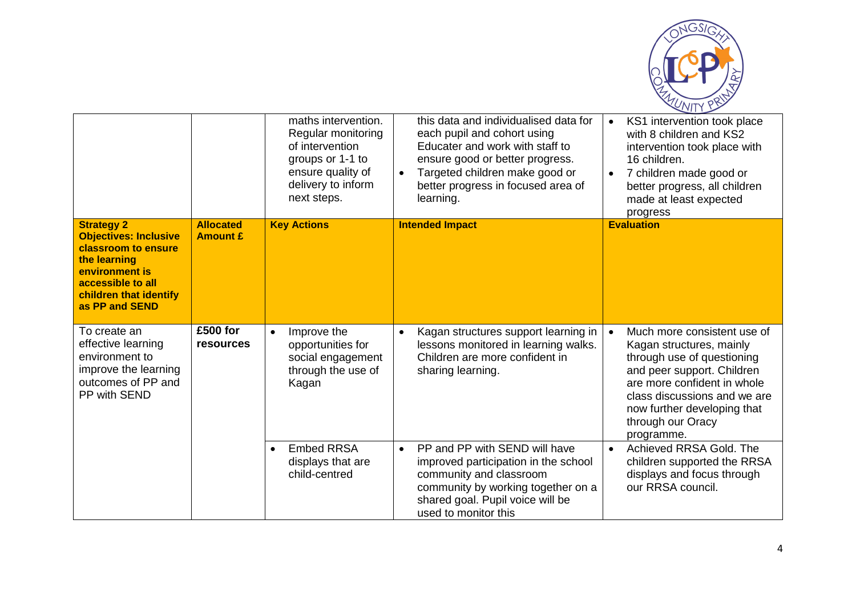

|                                                                                                                                                                             |                                     | maths intervention.<br>Regular monitoring<br>of intervention<br>groups or 1-1 to<br>ensure quality of<br>delivery to inform<br>next steps. | this data and individualised data for<br>each pupil and cohort using<br>Educater and work with staff to<br>ensure good or better progress.<br>Targeted children make good or<br>$\bullet$<br>better progress in focused area of<br>learning. | KS1 intervention took place<br>$\bullet$<br>with 8 children and KS2<br>intervention took place with<br>16 children.<br>7 children made good or<br>$\bullet$<br>better progress, all children<br>made at least expected<br>progress                   |
|-----------------------------------------------------------------------------------------------------------------------------------------------------------------------------|-------------------------------------|--------------------------------------------------------------------------------------------------------------------------------------------|----------------------------------------------------------------------------------------------------------------------------------------------------------------------------------------------------------------------------------------------|------------------------------------------------------------------------------------------------------------------------------------------------------------------------------------------------------------------------------------------------------|
| <b>Strategy 2</b><br><b>Objectives: Inclusive</b><br>classroom to ensure<br>the learning<br>environment is<br>accessible to all<br>children that identify<br>as PP and SEND | <b>Allocated</b><br><b>Amount £</b> | <b>Key Actions</b>                                                                                                                         | <b>Intended Impact</b>                                                                                                                                                                                                                       | <b>Evaluation</b>                                                                                                                                                                                                                                    |
| To create an<br>effective learning<br>environment to<br>improve the learning<br>outcomes of PP and<br>PP with SEND                                                          | £500 for<br><b>resources</b>        | Improve the<br>$\bullet$<br>opportunities for<br>social engagement<br>through the use of<br>Kagan                                          | Kagan structures support learning in<br>$\bullet$<br>lessons monitored in learning walks.<br>Children are more confident in<br>sharing learning.                                                                                             | Much more consistent use of<br>Kagan structures, mainly<br>through use of questioning<br>and peer support. Children<br>are more confident in whole<br>class discussions and we are<br>now further developing that<br>through our Oracy<br>programme. |
|                                                                                                                                                                             |                                     | <b>Embed RRSA</b><br>$\bullet$<br>displays that are<br>child-centred                                                                       | PP and PP with SEND will have<br>$\bullet$<br>improved participation in the school<br>community and classroom<br>community by working together on a<br>shared goal. Pupil voice will be<br>used to monitor this                              | Achieved RRSA Gold. The<br>$\bullet$<br>children supported the RRSA<br>displays and focus through<br>our RRSA council.                                                                                                                               |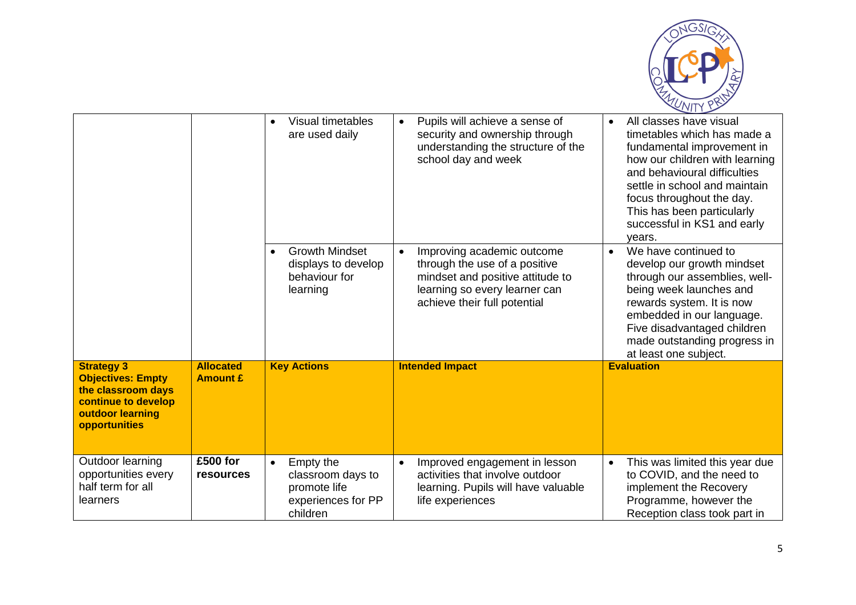

|                                                                                                                                 |                                     | Visual timetables<br>$\bullet$<br>are used daily                                              | Pupils will achieve a sense of<br>$\bullet$<br>security and ownership through<br>understanding the structure of the<br>school day and week                                    | All classes have visual<br>$\bullet$<br>timetables which has made a<br>fundamental improvement in<br>how our children with learning<br>and behavioural difficulties<br>settle in school and maintain<br>focus throughout the day.<br>This has been particularly<br>successful in KS1 and early<br>vears. |
|---------------------------------------------------------------------------------------------------------------------------------|-------------------------------------|-----------------------------------------------------------------------------------------------|-------------------------------------------------------------------------------------------------------------------------------------------------------------------------------|----------------------------------------------------------------------------------------------------------------------------------------------------------------------------------------------------------------------------------------------------------------------------------------------------------|
|                                                                                                                                 |                                     | <b>Growth Mindset</b><br>displays to develop<br>behaviour for<br>learning                     | Improving academic outcome<br>$\bullet$<br>through the use of a positive<br>mindset and positive attitude to<br>learning so every learner can<br>achieve their full potential | We have continued to<br>$\bullet$<br>develop our growth mindset<br>through our assemblies, well-<br>being week launches and<br>rewards system. It is now<br>embedded in our language.<br>Five disadvantaged children<br>made outstanding progress in<br>at least one subject.                            |
| <b>Strategy 3</b><br><b>Objectives: Empty</b><br>the classroom days<br>continue to develop<br>outdoor learning<br>opportunities | <b>Allocated</b><br><b>Amount £</b> | <b>Key Actions</b>                                                                            | <b>Intended Impact</b>                                                                                                                                                        | <b>Evaluation</b>                                                                                                                                                                                                                                                                                        |
| Outdoor learning<br>opportunities every<br>half term for all<br>learners                                                        | £500 for<br><b>resources</b>        | Empty the<br>$\bullet$<br>classroom days to<br>promote life<br>experiences for PP<br>children | Improved engagement in lesson<br>$\bullet$<br>activities that involve outdoor<br>learning. Pupils will have valuable<br>life experiences                                      | This was limited this year due<br>$\bullet$<br>to COVID, and the need to<br>implement the Recovery<br>Programme, however the<br>Reception class took part in                                                                                                                                             |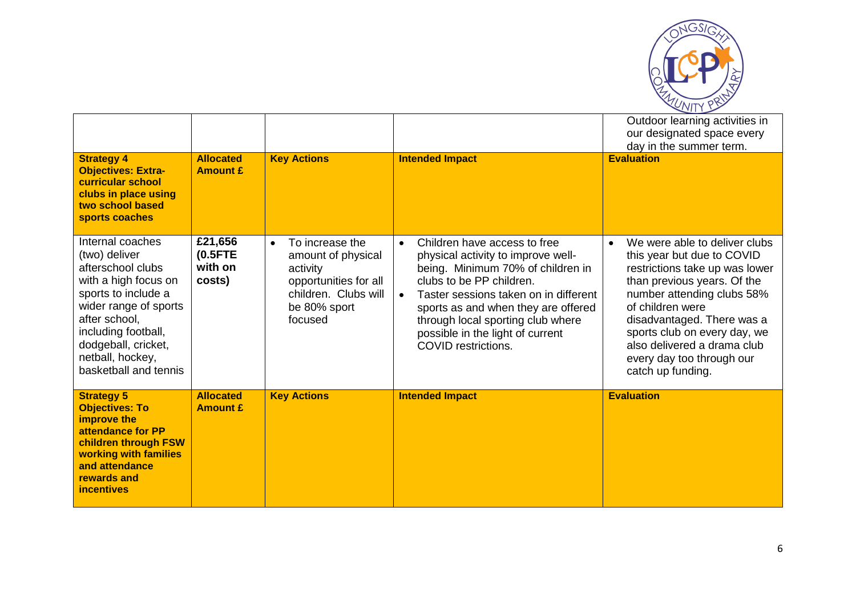

|                                                                                                                                                                                                                                            |                                            |                                                                                                                                            |                                                                                                                                                                                                                                                                                                                                                      | Outdoor learning activities in<br>our designated space every<br>day in the summer term.                                                                                                                                                                                                                                                    |
|--------------------------------------------------------------------------------------------------------------------------------------------------------------------------------------------------------------------------------------------|--------------------------------------------|--------------------------------------------------------------------------------------------------------------------------------------------|------------------------------------------------------------------------------------------------------------------------------------------------------------------------------------------------------------------------------------------------------------------------------------------------------------------------------------------------------|--------------------------------------------------------------------------------------------------------------------------------------------------------------------------------------------------------------------------------------------------------------------------------------------------------------------------------------------|
| <b>Strategy 4</b><br><b>Objectives: Extra-</b><br>curricular school<br>clubs in place using<br>two school based<br>sports coaches                                                                                                          | <b>Allocated</b><br><b>Amount £</b>        | <b>Key Actions</b>                                                                                                                         | <b>Intended Impact</b>                                                                                                                                                                                                                                                                                                                               | <b>Evaluation</b>                                                                                                                                                                                                                                                                                                                          |
| Internal coaches<br>(two) deliver<br>afterschool clubs<br>with a high focus on<br>sports to include a<br>wider range of sports<br>after school,<br>including football,<br>dodgeball, cricket,<br>netball, hockey,<br>basketball and tennis | £21,656<br>$(0.5$ FTE<br>with on<br>costs) | To increase the<br>$\bullet$<br>amount of physical<br>activity<br>opportunities for all<br>children. Clubs will<br>be 80% sport<br>focused | Children have access to free<br>$\bullet$<br>physical activity to improve well-<br>being. Minimum 70% of children in<br>clubs to be PP children.<br>Taster sessions taken on in different<br>$\bullet$<br>sports as and when they are offered<br>through local sporting club where<br>possible in the light of current<br><b>COVID</b> restrictions. | We were able to deliver clubs<br>$\bullet$<br>this year but due to COVID<br>restrictions take up was lower<br>than previous years. Of the<br>number attending clubs 58%<br>of children were<br>disadvantaged. There was a<br>sports club on every day, we<br>also delivered a drama club<br>every day too through our<br>catch up funding. |
| <b>Strategy 5</b><br><b>Objectives: To</b><br>improve the<br>attendance for PP<br>children through FSW<br>working with families<br>and attendance<br>rewards and<br><b>incentives</b>                                                      | <b>Allocated</b><br><b>Amount £</b>        | <b>Key Actions</b>                                                                                                                         | <b>Intended Impact</b>                                                                                                                                                                                                                                                                                                                               | <b>Evaluation</b>                                                                                                                                                                                                                                                                                                                          |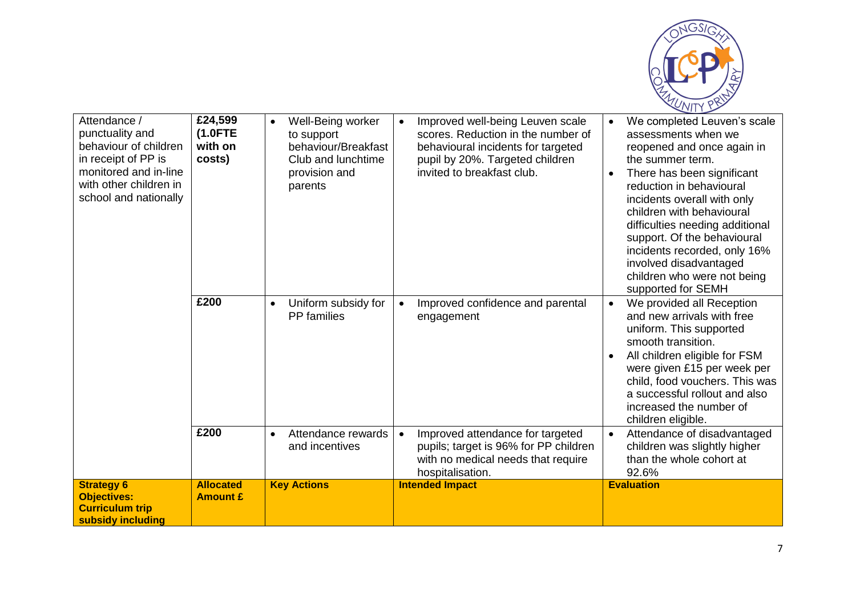

|                                                                                        | £200                                | $\bullet$                                         | $\bullet$                                                                                                                                        | children who were not being<br>supported for SEMH<br>$\bullet$                                                                                                                                                                                                                               |
|----------------------------------------------------------------------------------------|-------------------------------------|---------------------------------------------------|--------------------------------------------------------------------------------------------------------------------------------------------------|----------------------------------------------------------------------------------------------------------------------------------------------------------------------------------------------------------------------------------------------------------------------------------------------|
|                                                                                        |                                     | Uniform subsidy for<br><b>PP</b> families         | Improved confidence and parental<br>engagement                                                                                                   | We provided all Reception<br>and new arrivals with free<br>uniform. This supported<br>smooth transition.<br>All children eligible for FSM<br>were given £15 per week per<br>child, food vouchers. This was<br>a successful rollout and also<br>increased the number of<br>children eligible. |
|                                                                                        | £200                                | Attendance rewards<br>$\bullet$<br>and incentives | Improved attendance for targeted<br>$\bullet$<br>pupils; target is 96% for PP children<br>with no medical needs that require<br>hospitalisation. | Attendance of disadvantaged<br>$\bullet$<br>children was slightly higher<br>than the whole cohort at<br>92.6%                                                                                                                                                                                |
| <b>Strategy 6</b><br><b>Objectives:</b><br><b>Curriculum trip</b><br>subsidy including | <b>Allocated</b><br><b>Amount £</b> | <b>Key Actions</b>                                | <b>Intended Impact</b>                                                                                                                           | <b>Evaluation</b>                                                                                                                                                                                                                                                                            |